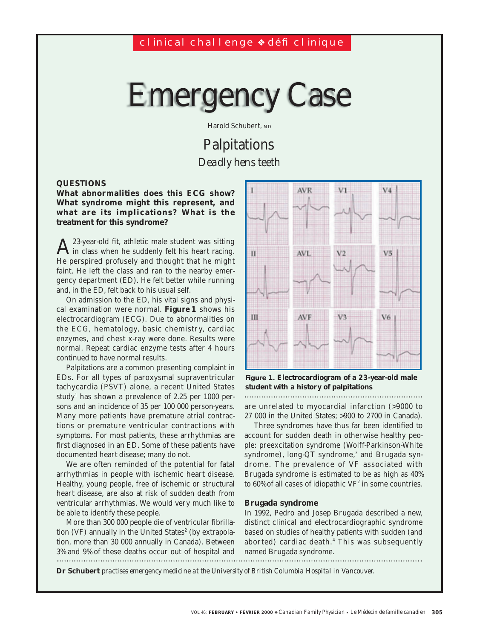# Emergency Case

Harold Schubert, MD

# Palpitations *Deadly hens teeth*

# **QUESTIONS**

**What abnormalities does this ECG show? What syndrome might this represent, and what are its implications? What is the treatment for this syndrome?**

 $A$  23-year-old fit, athletic male student was sitting<br>in class when he suddenly felt his heart racing. He perspired profusely and thought that he might faint. He left the class and ran to the nearby emergency department (ED). He felt better while running and, in the ED, felt back to his usual self.

On admission to the ED, his vital signs and physical examination were normal. **Figure 1** shows his electrocardiogram (ECG). Due to abnormalities on the ECG, hematology, basic chemistr y, cardiac enzymes, and chest x-ray were done. Results were normal. Repeat cardiac enzyme tests after 4 hours continued to have normal results.

Palpitations are a common presenting complaint in EDs. For all types of paroxysmal supraventricular tachycardia (PSVT) alone, a recent United States study<sup>1</sup> has shown a prevalence of 2.25 per 1000 persons and an incidence of 35 per 100 000 person-years. Many more patients have premature atrial contractions or premature ventricular contractions with symptoms. For most patients, these arrhythmias are first diagnosed in an ED. Some of these patients have documented heart disease; many do not.

We are often reminded of the potential for fatal arrhythmias in people with ischemic heart disease. Healthy, young people, free of ischemic or structural heart disease, are also at risk of sudden death from ventricular arrhythmias. We would very much like to be able to identify these people.

More than 300 000 people die of ventricular fibrillation (VF) annually in the United States $2$  (by extrapolation, more than 30 000 annually in Canada). Between 3% and 9% of these deaths occur out of hospital and 



**Figure 1. Electrocardiogram of a 23-year-old male student with a history of palpitations**

are unrelated to myocardial infarction (>9000 to 27 000 in the United States; >900 to 2700 in Canada).

Three syndromes have thus far been identified to account for sudden death in otherwise healthy people: preexcitation syndrome (Wolff-Parkinson-White syndrome), long-QT syndrome,<sup>3</sup> and Brugada syndrome. The prevalence of VF associated with Brugada syndrome is estimated to be as high as 40% to 60% of all cases of idiopathic  $VF<sup>2</sup>$  in some countries.

### **Brugada syndrome**

In 1992, Pedro and Josep Brugada described a new, distinct clinical and electrocardiographic syndrome based on studies of healthy patients with sudden (and aborted) cardiac death.<sup>4</sup> This was subsequently named Brugada syndrome.

**Dr Schubert** *practises emergency medicine at the University of British Columbia Hospital in Vancouver.*